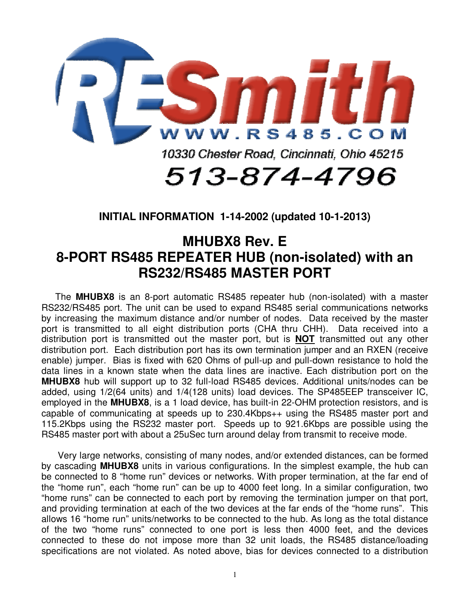

**INITIAL INFORMATION 1-14-2002 (updated 10-1-2013)** 

## **MHUBX8 Rev. E 8-PORT RS485 REPEATER HUB (non-isolated) with an RS232/RS485 MASTER PORT**

The **MHUBX8** is an 8-port automatic RS485 repeater hub (non-isolated) with a master RS232/RS485 port. The unit can be used to expand RS485 serial communications networks by increasing the maximum distance and/or number of nodes. Data received by the master port is transmitted to all eight distribution ports (CHA thru CHH). Data received into a distribution port is transmitted out the master port, but is **NOT** transmitted out any other distribution port. Each distribution port has its own termination jumper and an RXEN (receive enable) jumper. Bias is fixed with 620 Ohms of pull-up and pull-down resistance to hold the data lines in a known state when the data lines are inactive. Each distribution port on the **MHUBX8** hub will support up to 32 full-load RS485 devices. Additional units/nodes can be added, using 1/2(64 units) and 1/4(128 units) load devices. The SP485EEP transceiver IC, employed in the **MHUBX8**, is a 1 load device, has built-in 22-OHM protection resistors, and is capable of communicating at speeds up to 230.4Kbps++ using the RS485 master port and 115.2Kbps using the RS232 master port. Speeds up to 921.6Kbps are possible using the RS485 master port with about a 25uSec turn around delay from transmit to receive mode.

 Very large networks, consisting of many nodes, and/or extended distances, can be formed by cascading **MHUBX8** units in various configurations. In the simplest example, the hub can be connected to 8 "home run" devices or networks. With proper termination, at the far end of the "home run", each "home run" can be up to 4000 feet long. In a similar configuration, two "home runs" can be connected to each port by removing the termination jumper on that port, and providing termination at each of the two devices at the far ends of the "home runs". This allows 16 "home run" units/networks to be connected to the hub. As long as the total distance of the two "home runs" connected to one port is less then 4000 feet, and the devices connected to these do not impose more than 32 unit loads, the RS485 distance/loading specifications are not violated. As noted above, bias for devices connected to a distribution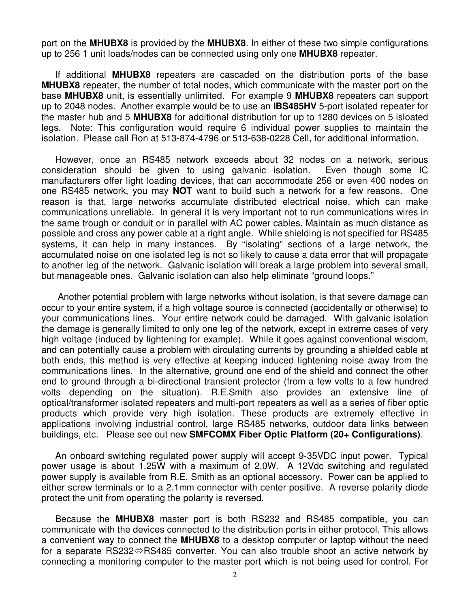port on the **MHUBX8** is provided by the **MHUBX8**. In either of these two simple configurations up to 256 1 unit loads/nodes can be connected using only one **MHUBX8** repeater.

If additional **MHUBX8** repeaters are cascaded on the distribution ports of the base **MHUBX8** repeater, the number of total nodes, which communicate with the master port on the base **MHUBX8** unit, is essentially unlimited. For example 9 **MHUBX8** repeaters can support up to 2048 nodes. Another example would be to use an **IBS485HV** 5-port isolated repeater for the master hub and 5 **MHUBX8** for additional distribution for up to 1280 devices on 5 isloated legs. Note: This configuration would require 6 individual power supplies to maintain the isolation. Please call Ron at 513-874-4796 or 513-638-0228 Cell, for additional information.

However, once an RS485 network exceeds about 32 nodes on a network, serious consideration should be given to using galvanic isolation. Even though some IC manufacturers offer light loading devices, that can accommodate 256 or even 400 nodes on one RS485 network, you may **NOT** want to build such a network for a few reasons. One reason is that, large networks accumulate distributed electrical noise, which can make communications unreliable. In general it is very important not to run communications wires in the same trough or conduit or in parallel with AC power cables. Maintain as much distance as possible and cross any power cable at a right angle. While shielding is not specified for RS485 systems, it can help in many instances. By "isolating" sections of a large network, the accumulated noise on one isolated leg is not so likely to cause a data error that will propagate to another leg of the network. Galvanic isolation will break a large problem into several small, but manageable ones. Galvanic isolation can also help eliminate "ground loops."

 Another potential problem with large networks without isolation, is that severe damage can occur to your entire system, if a high voltage source is connected (accidentally or otherwise) to your communications lines. Your entire network could be damaged. With galvanic isolation the damage is generally limited to only one leg of the network, except in extreme cases of very high voltage (induced by lightening for example). While it goes against conventional wisdom, and can potentially cause a problem with circulating currents by grounding a shielded cable at both ends, this method is very effective at keeping induced lightening noise away from the communications lines. In the alternative, ground one end of the shield and connect the other end to ground through a bi-directional transient protector (from a few volts to a few hundred volts depending on the situation). R.E.Smith also provides an extensive line of optical/transformer isolated repeaters and multi-port repeaters as well as a series of fiber optic products which provide very high isolation. These products are extremely effective in applications involving industrial control, large RS485 networks, outdoor data links between buildings, etc. Please see out new **SMFCOMX Fiber Optic Platform (20+ Configurations)**.

An onboard switching regulated power supply will accept 9-35VDC input power. Typical power usage is about 1.25W with a maximum of 2.0W. A 12Vdc switching and regulated power supply is available from R.E. Smith as an optional accessory. Power can be applied to either screw terminals or to a 2.1mm connector with center positive. A reverse polarity diode protect the unit from operating the polarity is reversed.

Because the **MHUBX8** master port is both RS232 and RS485 compatible, you can communicate with the devices connected to the distribution ports in either protocol. This allows a convenient way to connect the **MHUBX8** to a desktop computer or laptop without the need for a separate RS232 $\Leftrightarrow$ RS485 converter. You can also trouble shoot an active network by connecting a monitoring computer to the master port which is not being used for control. For